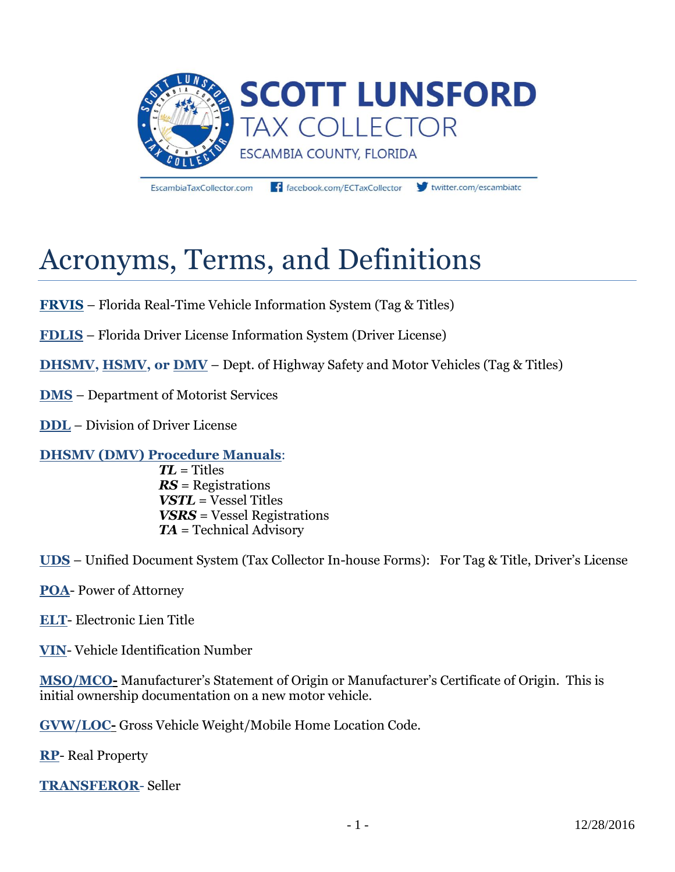

EscambiaTaxCollector.com

facebook.com/ECTaxCollector

twitter.com/escambiate

# Acronyms, Terms, and Definitions

**FRVIS** – Florida Real-Time Vehicle Information System (Tag & Titles)

**FDLIS** – Florida Driver License Information System (Driver License)

**DHSMV, HSMV, or DMV** – Dept. of Highway Safety and Motor Vehicles (Tag & Titles)

**DMS** – Department of Motorist Services

**DDL** – Division of Driver License

### **DHSMV (DMV) Procedure Manuals**:

*TL* = Titles *RS* = Registrations *VSTL* = Vessel Titles *VSRS* = Vessel Registrations *TA* = Technical Advisory

**UDS** – Unified Document System (Tax Collector In-house Forms): For Tag & Title, Driver's License

**POA**- Power of Attorney

**ELT**- Electronic Lien Title

**VIN**- Vehicle Identification Number

**MSO/MCO-** Manufacturer's Statement of Origin or Manufacturer's Certificate of Origin. This is initial ownership documentation on a new motor vehicle.

**GVW/LOC-** Gross Vehicle Weight/Mobile Home Location Code.

**RP**- Real Property

**TRANSFEROR**- Seller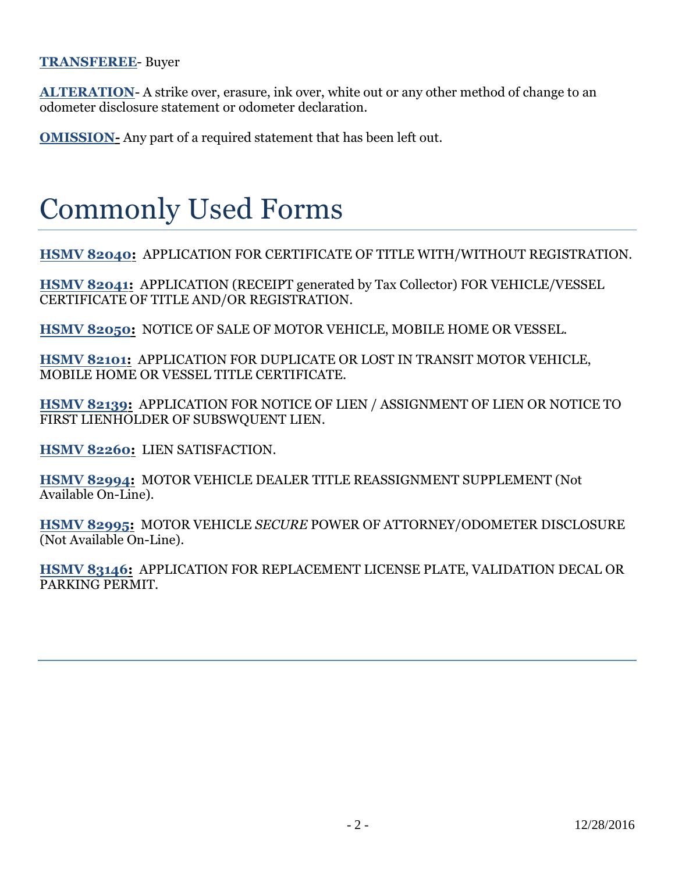#### **TRANSFEREE**- Buyer

**ALTERATION**- A strike over, erasure, ink over, white out or any other method of change to an odometer disclosure statement or odometer declaration.

**OMISSION**- Any part of a required statement that has been left out.

## Commonly Used Forms

**HSMV 82040:** APPLICATION FOR CERTIFICATE OF TITLE WITH/WITHOUT REGISTRATION.

**HSMV 82041:** APPLICATION (RECEIPT generated by Tax Collector) FOR VEHICLE/VESSEL CERTIFICATE OF TITLE AND/OR REGISTRATION.

**HSMV 82050:** NOTICE OF SALE OF MOTOR VEHICLE, MOBILE HOME OR VESSEL.

**HSMV 82101:** APPLICATION FOR DUPLICATE OR LOST IN TRANSIT MOTOR VEHICLE, MOBILE HOME OR VESSEL TITLE CERTIFICATE.

**HSMV 82139:** APPLICATION FOR NOTICE OF LIEN / ASSIGNMENT OF LIEN OR NOTICE TO FIRST LIENHOLDER OF SUBSWQUENT LIEN.

**HSMV 82260:** LIEN SATISFACTION.

**HSMV 82994:** MOTOR VEHICLE DEALER TITLE REASSIGNMENT SUPPLEMENT (Not Available On-Line).

**HSMV 82995:** MOTOR VEHICLE *SECURE* POWER OF ATTORNEY/ODOMETER DISCLOSURE (Not Available On-Line).

**HSMV 83146:** APPLICATION FOR REPLACEMENT LICENSE PLATE, VALIDATION DECAL OR PARKING PERMIT.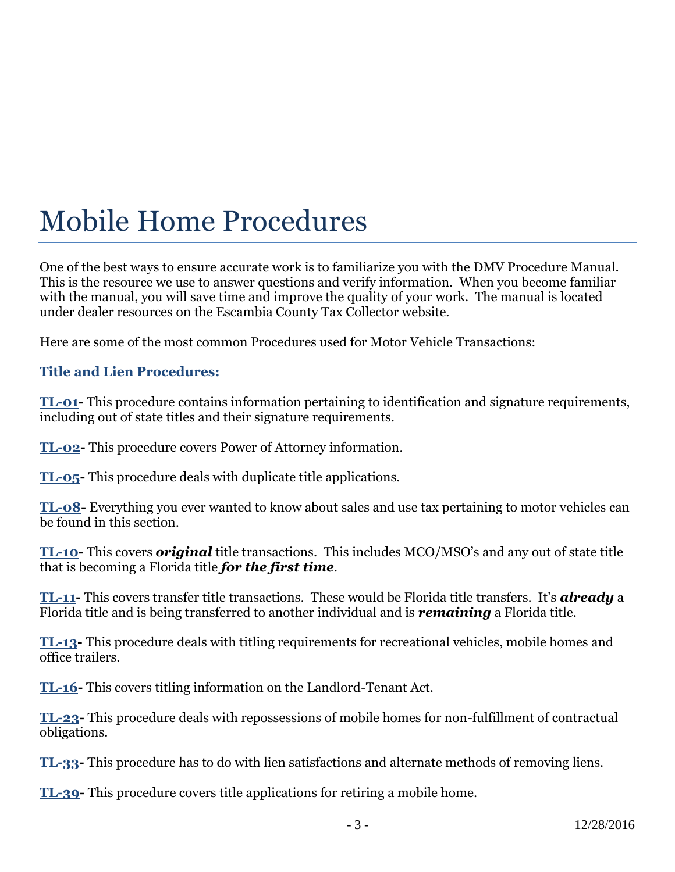## Mobile Home Procedures

One of the best ways to ensure accurate work is to familiarize you with the DMV Procedure Manual. This is the resource we use to answer questions and verify information. When you become familiar with the manual, you will save time and improve the quality of your work. The manual is located under dealer resources on the Escambia County Tax Collector website.

Here are some of the most common Procedures used for Motor Vehicle Transactions:

### **Title and Lien Procedures:**

**TL-01-** This procedure contains information pertaining to identification and signature requirements, including out of state titles and their signature requirements.

**TL-02-** This procedure covers Power of Attorney information.

**TL-05-** This procedure deals with duplicate title applications.

**TL-08-** Everything you ever wanted to know about sales and use tax pertaining to motor vehicles can be found in this section.

**TL-10-** This covers *original* title transactions. This includes MCO/MSO's and any out of state title that is becoming a Florida title *for the first time*.

**TL-11-** This covers transfer title transactions. These would be Florida title transfers. It's *already* a Florida title and is being transferred to another individual and is *remaining* a Florida title.

**TL-13-** This procedure deals with titling requirements for recreational vehicles, mobile homes and office trailers.

**TL-16-** This covers titling information on the Landlord-Tenant Act.

**TL-23-** This procedure deals with repossessions of mobile homes for non-fulfillment of contractual obligations.

**TL-33-** This procedure has to do with lien satisfactions and alternate methods of removing liens.

**TL-39-** This procedure covers title applications for retiring a mobile home.